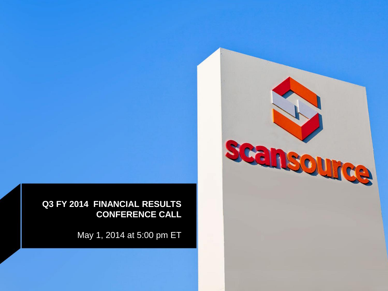

May 1, 2014 at 5:00 pm ET

scansource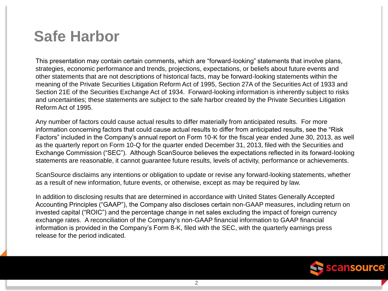### **Safe Harbor**

This presentation may contain certain comments, which are "forward-looking" statements that involve plans, strategies, economic performance and trends, projections, expectations, or beliefs about future events and other statements that are not descriptions of historical facts, may be forward-looking statements within the meaning of the Private Securities Litigation Reform Act of 1995, Section 27A of the Securities Act of 1933 and Section 21E of the Securities Exchange Act of 1934. Forward-looking information is inherently subject to risks and uncertainties; these statements are subject to the safe harbor created by the Private Securities Litigation Reform Act of 1995.

Any number of factors could cause actual results to differ materially from anticipated results. For more information concerning factors that could cause actual results to differ from anticipated results, see the "Risk Factors" included in the Company's annual report on Form 10-K for the fiscal year ended June 30, 2013, as well as the quarterly report on Form 10-Q for the quarter ended December 31, 2013, filed with the Securities and Exchange Commission ("SEC"). Although ScanSource believes the expectations reflected in its forward-looking statements are reasonable, it cannot guarantee future results, levels of activity, performance or achievements.

ScanSource disclaims any intentions or obligation to update or revise any forward-looking statements, whether as a result of new information, future events, or otherwise, except as may be required by law.

In addition to disclosing results that are determined in accordance with United States Generally Accepted Accounting Principles ("GAAP"), the Company also discloses certain non-GAAP measures, including return on invested capital ("ROIC") and the percentage change in net sales excluding the impact of foreign currency exchange rates. A reconciliation of the Company's non-GAAP financial information to GAAP financial information is provided in the Company's Form 8-K, filed with the SEC, with the quarterly earnings press release for the period indicated.

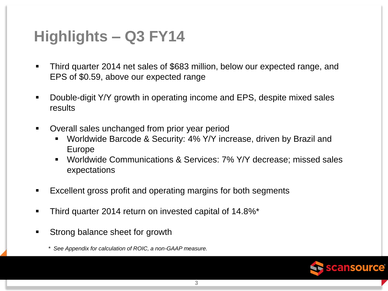# **Highlights – Q3 FY14**

- Third quarter 2014 net sales of \$683 million, below our expected range, and EPS of \$0.59, above our expected range
- Double-digit Y/Y growth in operating income and EPS, despite mixed sales results
- **Dimergior 1** Overall sales unchanged from prior year period
	- Worldwide Barcode & Security: 4% Y/Y increase, driven by Brazil and Europe
	- Worldwide Communications & Services: 7% Y/Y decrease; missed sales expectations
- Excellent gross profit and operating margins for both segments
- Third quarter 2014 return on invested capital of 14.8%\*
- Strong balance sheet for growth

*\* See Appendix for calculation of ROIC, a non-GAAP measure.*

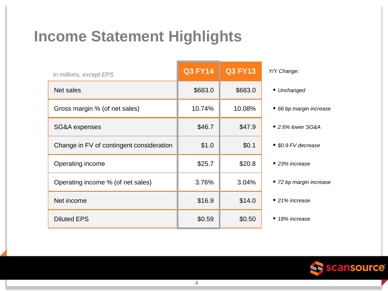# **Income Statement Highlights**

| In millions, except EPS                  | <b>Q3 FY14</b> | <b>Q3 FY13</b> | Y/Y Change:                    |
|------------------------------------------|----------------|----------------|--------------------------------|
| Net sales                                | \$683.0        | \$683.0        | ■ Unchanged                    |
| Gross margin % (of net sales)            | 10.74%         | 10.08%         | 66 bp margin increase          |
| SG&A expenses                            | \$46.7         | \$47.9         | $\blacksquare$ 2.6% lower SG&A |
| Change in FV of contingent consideration | \$1.0          | \$0.1          | ■ \$0.9 FV decrease            |
| Operating income                         | \$25.7         | \$20.8         | $\blacksquare$ 23% increase    |
| Operating income % (of net sales)        | 3.76%          | 3.04%          | ■ 72 bp margin increase        |
| Net income                               | \$16.9         | \$14.0         | ■ 21% increase                 |
| <b>Diluted EPS</b>                       | \$0.59         | \$0.50         | 18% increase                   |

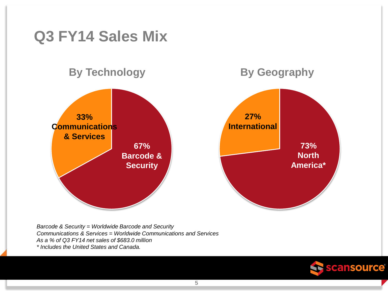

*Barcode & Security = Worldwide Barcode and Security Communications & Services = Worldwide Communications and Services As a % of Q3 FY14 net sales of \$683.0 million \* Includes the United States and Canada.*

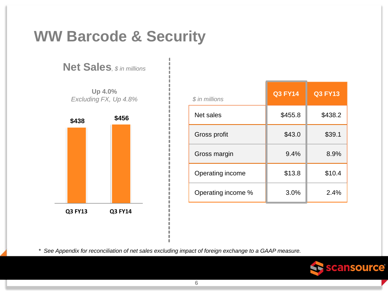

**Net Sales***, \$ in millions*

**Up 4.0%** *Excluding FX, Up 4.8%* 



| $$$ in millions    | <b>Q3 FY14</b> | Q3 FY13 |
|--------------------|----------------|---------|
| Net sales          | \$455.8        | \$438.2 |
| Gross profit       | \$43.0         | \$39.1  |
| Gross margin       | 9.4%           | 8.9%    |
| Operating income   | \$13.8         | \$10.4  |
| Operating income % | 3.0%           | 2.4%    |

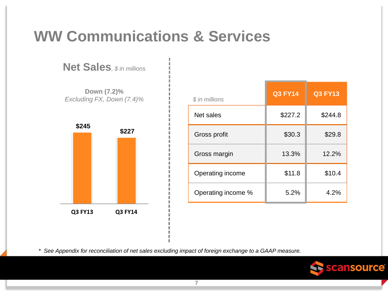# **WW Communications & Services**

**Net Sales***, \$ in millions*

**Down (7.2)%** *Excluding FX, Down (7.4)%*



| $$$ in millions    | <b>Q3 FY14</b> | <b>Q3 FY13</b> |
|--------------------|----------------|----------------|
| Net sales          | \$227.2        | \$244.8        |
| Gross profit       | \$30.3         | \$29.8         |
| Gross margin       | 13.3%          | 12.2%          |
| Operating income   | \$11.8         | \$10.4         |
| Operating income % | 5.2%           | 4.2%           |

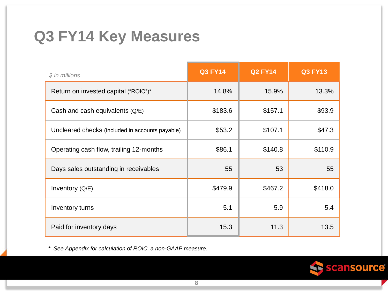# **Q3 FY14 Key Measures**

| \$ in millions                                  | <b>Q3 FY14</b> | <b>Q2 FY14</b> | <b>Q3 FY13</b> |
|-------------------------------------------------|----------------|----------------|----------------|
| Return on invested capital ("ROIC")*            | 14.8%          | 15.9%          | 13.3%          |
| Cash and cash equivalents $(Q/E)$               | \$183.6        | \$157.1        | \$93.9         |
| Uncleared checks (included in accounts payable) | \$53.2         | \$107.1        | \$47.3         |
| Operating cash flow, trailing 12-months         | \$86.1         | \$140.8        | \$110.9        |
| Days sales outstanding in receivables           | 55             | 53             | 55             |
| Inventory (Q/E)                                 | \$479.9        | \$467.2        | \$418.0        |
| Inventory turns                                 | 5.1            | 5.9            | 5.4            |
| Paid for inventory days                         | 15.3           | 11.3           | 13.5           |

*\* See Appendix for calculation of ROIC, a non-GAAP measure.*

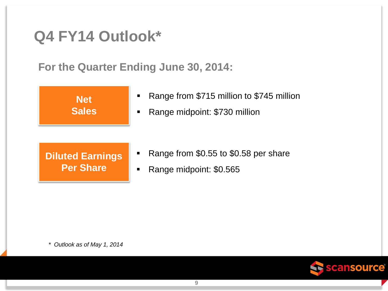### **Q4 FY14 Outlook\***

**For the Quarter Ending June 30, 2014:**



- **Range from \$715 million to \$745 million**
- Range midpoint: \$730 million

#### **Diluted Earnings Per Share**

- Range from \$0.55 to \$0.58 per share
- **Range midpoint: \$0.565**

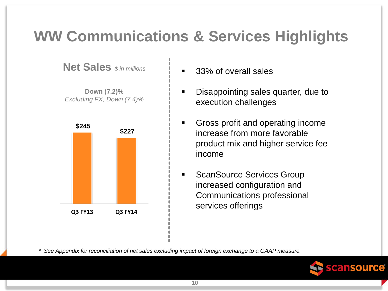# **WW Communications & Services Highlights**

**Net Sales***, \$ in millions*

**Down (7.2)%** *Excluding FX, Down (7.4)%*



- 33% of overall sales
- Disappointing sales quarter, due to execution challenges
- **Gross profit and operating income** increase from more favorable product mix and higher service fee income
- **ScanSource Services Group** increased configuration and Communications professional services offerings

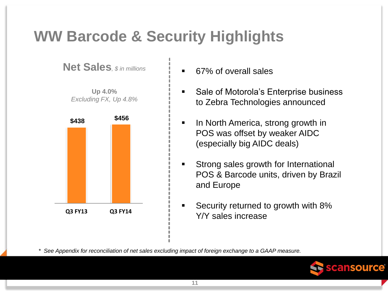# **WW Barcode & Security Highlights**

**Net Sales***, \$ in millions*

**Up 4.0%** *Excluding FX, Up 4.8%*



- 67% of overall sales
- Sale of Motorola's Enterprise business to Zebra Technologies announced
- In North America, strong growth in POS was offset by weaker AIDC (especially big AIDC deals)
- **Strong sales growth for International** POS & Barcode units, driven by Brazil and Europe
- Security returned to growth with 8% Y/Y sales increase

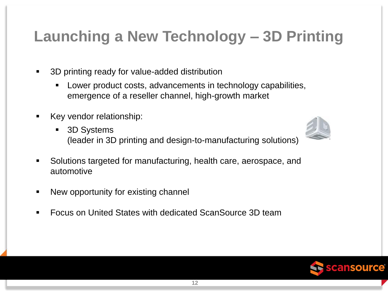# **Launching a New Technology – 3D Printing**

- 3D printing ready for value-added distribution
	- Lower product costs, advancements in technology capabilities, emergence of a reseller channel, high-growth market
- Key vendor relationship:
	- 3D Systems (leader in 3D printing and design-to-manufacturing solutions)
- Solutions targeted for manufacturing, health care, aerospace, and automotive
- New opportunity for existing channel
- Focus on United States with dedicated ScanSource 3D team



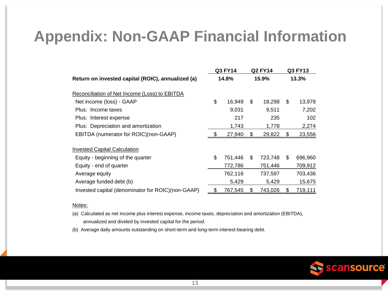### **Appendix: Non-GAAP Financial Information**

|                                                   | Q3 FY14       | <b>Q2 FY14</b> |    | Q3 FY13 |
|---------------------------------------------------|---------------|----------------|----|---------|
| Return on invested capital (ROIC), annualized (a) | 14.8%         | 15.9%          |    | 13.3%   |
| Reconciliation of Net Income (Loss) to EBITDA     |               |                |    |         |
| Net income (loss) - GAAP                          | \$<br>16,949  | \$<br>18,298   | \$ | 13,978  |
| Plus: Income taxes                                | 9,031         | 9,511          |    | 7,202   |
| Plus: Interest expense                            | 217           | 235            |    | 102     |
| Plus: Depreciation and amortization               | 1,743         | 1,778          |    | 2,274   |
| EBITDA (numerator for ROIC)(non-GAAP)             | 27,940        | 29,822         | S  | 23,556  |
| <b>Invested Capital Calculation</b>               |               |                |    |         |
| Equity - beginning of the quarter                 | \$<br>751,446 | \$<br>723,748  | \$ | 696,960 |
| Equity - end of quarter                           | 772,786       | 751,446        |    | 709,912 |
| Average equity                                    | 762,116       | 737,597        |    | 703,436 |
| Average funded debt (b)                           | 5,429         | 5,429          |    | 15,675  |
| Invested capital (denominator for ROIC)(non-GAAP) | \$<br>767,545 | \$<br>743,026  | \$ | 719,111 |

#### Notes:

(a) Calculated as net income plus interest expense, income taxes, depreciation and amortization (EBITDA), annualized and divided by invested capital for the period.

(b) Average daily amounts outstanding on short-term and long-term interest-bearing debt.